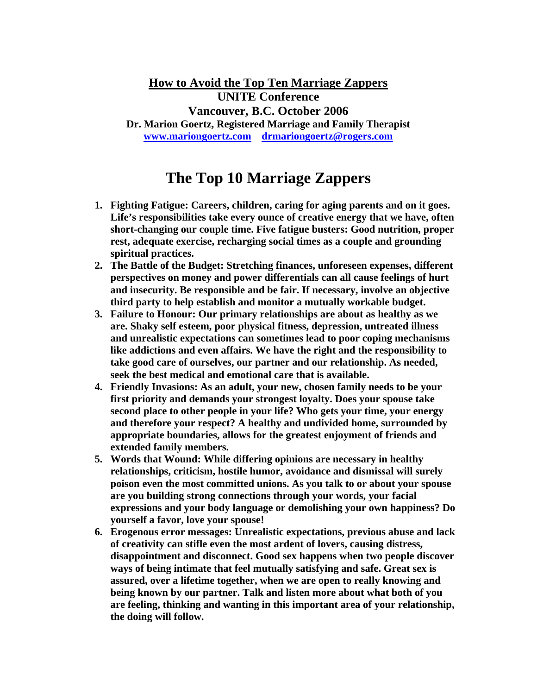## **How to Avoid the Top Ten Marriage Zappers UNITE Conference Vancouver, B.C. October 2006**

**Dr. Marion Goertz, Registered Marriage and Family Therapist [www.mariongoertz.com](http://www.mariongoertz.com/) [drmariongoertz@rogers.com](mailto:drmariongoertz@rogers.com)** 

## **The Top 10 Marriage Zappers**

- **1. Fighting Fatigue: Careers, children, caring for aging parents and on it goes. Life's responsibilities take every ounce of creative energy that we have, often short-changing our couple time. Five fatigue busters: Good nutrition, proper rest, adequate exercise, recharging social times as a couple and grounding spiritual practices.**
- **2. The Battle of the Budget: Stretching finances, unforeseen expenses, different perspectives on money and power differentials can all cause feelings of hurt and insecurity. Be responsible and be fair. If necessary, involve an objective third party to help establish and monitor a mutually workable budget.**
- **3. Failure to Honour: Our primary relationships are about as healthy as we are. Shaky self esteem, poor physical fitness, depression, untreated illness and unrealistic expectations can sometimes lead to poor coping mechanisms like addictions and even affairs. We have the right and the responsibility to take good care of ourselves, our partner and our relationship. As needed, seek the best medical and emotional care that is available.**
- **4. Friendly Invasions: As an adult, your new, chosen family needs to be your first priority and demands your strongest loyalty. Does your spouse take second place to other people in your life? Who gets your time, your energy and therefore your respect? A healthy and undivided home, surrounded by appropriate boundaries, allows for the greatest enjoyment of friends and extended family members.**
- **5. Words that Wound: While differing opinions are necessary in healthy relationships, criticism, hostile humor, avoidance and dismissal will surely poison even the most committed unions. As you talk to or about your spouse are you building strong connections through your words, your facial expressions and your body language or demolishing your own happiness? Do yourself a favor, love your spouse!**
- **6. Erogenous error messages: Unrealistic expectations, previous abuse and lack of creativity can stifle even the most ardent of lovers, causing distress, disappointment and disconnect. Good sex happens when two people discover ways of being intimate that feel mutually satisfying and safe. Great sex is assured, over a lifetime together, when we are open to really knowing and being known by our partner. Talk and listen more about what both of you are feeling, thinking and wanting in this important area of your relationship, the doing will follow.**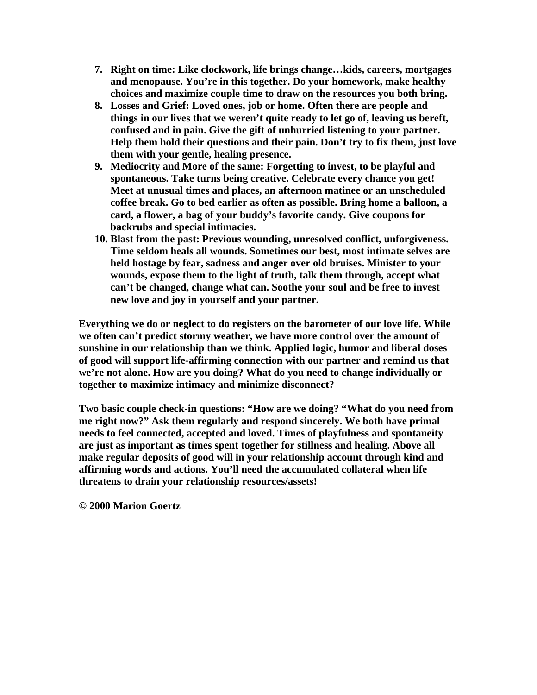- **7. Right on time: Like clockwork, life brings change…kids, careers, mortgages and menopause. You're in this together. Do your homework, make healthy choices and maximize couple time to draw on the resources you both bring.**
- **8. Losses and Grief: Loved ones, job or home. Often there are people and things in our lives that we weren't quite ready to let go of, leaving us bereft, confused and in pain. Give the gift of unhurried listening to your partner. Help them hold their questions and their pain. Don't try to fix them, just love them with your gentle, healing presence.**
- **9. Mediocrity and More of the same: Forgetting to invest, to be playful and spontaneous. Take turns being creative. Celebrate every chance you get! Meet at unusual times and places, an afternoon matinee or an unscheduled coffee break. Go to bed earlier as often as possible. Bring home a balloon, a card, a flower, a bag of your buddy's favorite candy. Give coupons for backrubs and special intimacies.**
- **10. Blast from the past: Previous wounding, unresolved conflict, unforgiveness. Time seldom heals all wounds. Sometimes our best, most intimate selves are held hostage by fear, sadness and anger over old bruises. Minister to your wounds, expose them to the light of truth, talk them through, accept what can't be changed, change what can. Soothe your soul and be free to invest new love and joy in yourself and your partner.**

**Everything we do or neglect to do registers on the barometer of our love life. While we often can't predict stormy weather, we have more control over the amount of sunshine in our relationship than we think. Applied logic, humor and liberal doses of good will support life-affirming connection with our partner and remind us that we're not alone. How are you doing? What do you need to change individually or together to maximize intimacy and minimize disconnect?** 

**Two basic couple check-in questions: "How are we doing? "What do you need from me right now?" Ask them regularly and respond sincerely. We both have primal needs to feel connected, accepted and loved. Times of playfulness and spontaneity are just as important as times spent together for stillness and healing. Above all make regular deposits of good will in your relationship account through kind and affirming words and actions. You'll need the accumulated collateral when life threatens to drain your relationship resources/assets!** 

**© 2000 Marion Goertz**